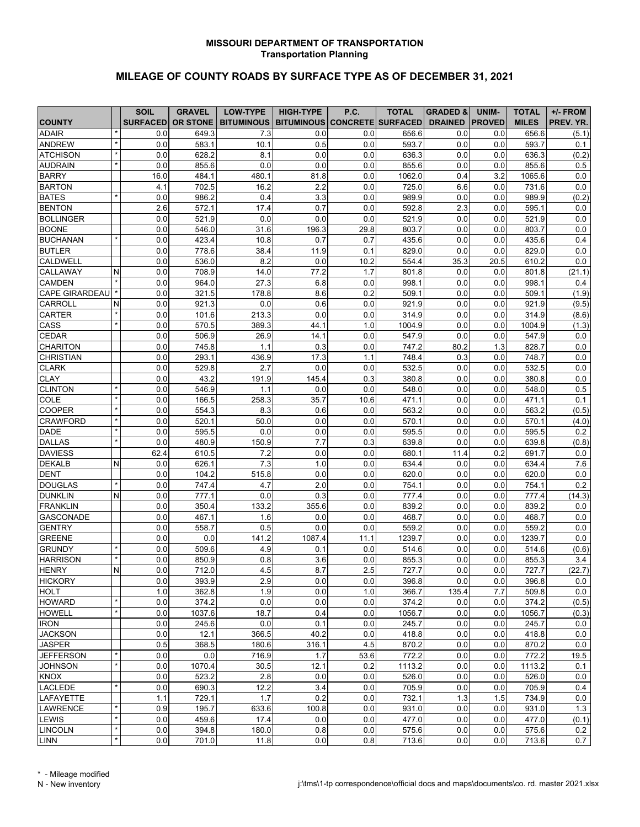## **MISSOURI DEPARTMENT OF TRANSPORTATION Transportation Planning**

## **MILEAGE OF COUNTY ROADS BY SURFACE TYPE AS OF DECEMBER 31, 2021**

| <b>TOTAL</b><br>UNIM-<br><b>TOTAL</b><br>BITUMINOUS   BITUMINOUS CONCRETE SURFACED<br><b>SURFACED</b><br><b>OR STONE</b><br><b>DRAINED</b><br><b>PROVED</b><br><b>MILES</b><br>PREV. YR.<br><b>COUNTY</b><br><b>ADAIR</b><br>7.3<br>656.6<br>656.6<br>0.0<br>649.3<br>0.0<br>0.0<br>0.0<br>0.0<br>(5.1)<br><b>ANDREW</b><br>0.0<br>0.0<br>583.1<br>10.1<br>0.5<br>593.7<br>0.0<br>0.0<br>593.7<br>0.1<br><b>ATCHISON</b><br>0.0<br>0.0<br>636.3<br>0.0<br>0.0<br>0.0<br>628.2<br>8.1<br>636.3<br>(0.2)<br><b>AUDRAIN</b><br>0.0<br>855.6<br>0.0<br>0.0<br>0.0<br>855.6<br>0.0<br>0.0<br>855.6<br>0.5<br><b>BARRY</b><br>3.2<br>0.0<br>16.0<br>484.1<br>480.1<br>81.8<br>0.0<br>1062.0<br>0.4<br>1065.6<br>702.5<br>2.2<br>725.0<br>6.6<br>731.6<br>0.0<br><b>BARTON</b><br>16.2<br>0.0<br>0.0<br>4.1<br><b>BATES</b><br>0.0<br>986.2<br>3.3<br>0.0<br>989.9<br>0.0<br>0.0<br>989.9<br>(0.2)<br>0.4<br><b>BENTON</b><br>17.4<br>0.0<br>592.8<br>2.3<br>595.1<br>2.6<br>572.1<br>0.7<br>0.0<br>0.0<br><b>BOLLINGER</b><br>521.9<br>0.0<br>0.0<br>521.9<br>0.0<br>0.0<br>0.0<br>521.9<br>0.0<br>0.0<br>0.0<br><b>BOONE</b><br>0.0<br>546.0<br>31.6<br>196.3<br>29.8<br>803.7<br>0.0<br>803.7<br>0.0<br><b>BUCHANAN</b><br>0.0<br>423.4<br>10.8<br>0.7<br>0.7<br>435.6<br>0.0<br>0.0<br>435.6<br>0.4<br><b>BUTLER</b><br>0.0<br>778.6<br>38.4<br>11.9<br>0.1<br>829.0<br>0.0<br>0.0<br>829.0<br>0.0<br><b>CALDWELL</b><br>536.0<br>8.2<br>0.0<br>10.2<br>554.4<br>35.3<br>20.5<br>610.2<br>0.0<br>0.0<br>0.0<br>708.9<br>14.0<br>77.2<br>1.7<br>0.0<br>0.0<br>CALLAWAY<br>N<br>801.8<br>801.8<br>(21.1)<br><b>CAMDEN</b><br>27.3<br>0.0<br>0.0<br>964.0<br>6.8<br>0.0<br>998.1<br>0.0<br>998.1<br>0.4<br><b>CAPE GIRARDEAU</b><br>321.5<br>178.8<br>8.6<br>0.2<br>0.0<br>509.1<br>(1.9)<br>0.0<br>509.1<br>0.0<br>(9.5)<br>CARROLL<br>0.0<br>921.3<br>0.0<br>0.6<br>0.0<br>921.9<br>0.0<br>0.0<br>921.9<br>N<br>0.0<br>314.9<br>(8.6)<br><b>CARTER</b><br>0.0<br>101.6<br>213.3<br>0.0<br>314.9<br>0.0<br>0.0<br>CASS<br>570.5<br>389.3<br>0.0<br>1004.9<br>(1.3)<br>0.0<br>44.1<br>1.0<br>1004.9<br>0.0<br>CEDAR<br>0.0<br>0.0<br>506.9<br>26.9<br>14.1<br>0.0<br>547.9<br>0.0<br>547.9<br>0.0<br><b>CHARITON</b><br>0.0<br>745.8<br>0.3<br>0.0<br>747.2<br>80.2<br>1.3<br>828.7<br>0.0<br>1.1<br><b>CHRISTIAN</b><br>0.0<br>293.1<br>436.9<br>17.3<br>748.4<br>0.3<br>0.0<br>748.7<br>0.0<br>1.1<br><b>CLARK</b><br>529.8<br>2.7<br>0.0<br>0.0<br>532.5<br>0.0<br>0.0<br>532.5<br>0.0<br>0.0<br><b>CLAY</b><br>43.2<br>145.4<br>0.3<br>380.8<br>0.0<br>0.0<br>0.0<br>191.9<br>0.0<br>380.8<br>0.5<br><b>CLINTON</b><br>0.0<br>548.0<br>0.0<br>0.0<br>546.9<br>1.1<br>0.0<br>0.0<br>548.0<br>COLE<br>35.7<br>0.0<br>471.1<br>0.1<br>0.0<br>166.5<br>258.3<br>10.6<br>471.1<br>0.0<br>COOPER<br>0.0<br>554.3<br>8.3<br>0.6<br>0.0<br>563.2<br>0.0<br>0.0<br>563.2<br>(0.5)<br><b>CRAWFORD</b><br>50.0<br>0.0<br>0.0<br>0.0<br>520.1<br>0.0<br>570.1<br>0.0<br>570.1<br>(4.0)<br><b>DADE</b><br>595.5<br>0.0<br>595.5<br>0.0<br>595.5<br>0.2<br>0.0<br>0.0<br>0.0<br>0.0<br>7.7<br><b>DALLAS</b><br>0.0<br>480.9<br>0.3<br>639.8<br>0.0<br>0.0<br>639.8<br>(0.8)<br>150.9<br><b>DAVIESS</b><br>7.2<br>0.0<br>680.1<br>0.2<br>691.7<br>0.0<br>62.4<br>610.5<br>0.0<br>11.4<br><b>DEKALB</b><br>7.6<br>N<br>0.0<br>626.1<br>7.3<br>1.0<br>0.0<br>634.4<br>0.0<br>0.0<br>634.4 |
|------------------------------------------------------------------------------------------------------------------------------------------------------------------------------------------------------------------------------------------------------------------------------------------------------------------------------------------------------------------------------------------------------------------------------------------------------------------------------------------------------------------------------------------------------------------------------------------------------------------------------------------------------------------------------------------------------------------------------------------------------------------------------------------------------------------------------------------------------------------------------------------------------------------------------------------------------------------------------------------------------------------------------------------------------------------------------------------------------------------------------------------------------------------------------------------------------------------------------------------------------------------------------------------------------------------------------------------------------------------------------------------------------------------------------------------------------------------------------------------------------------------------------------------------------------------------------------------------------------------------------------------------------------------------------------------------------------------------------------------------------------------------------------------------------------------------------------------------------------------------------------------------------------------------------------------------------------------------------------------------------------------------------------------------------------------------------------------------------------------------------------------------------------------------------------------------------------------------------------------------------------------------------------------------------------------------------------------------------------------------------------------------------------------------------------------------------------------------------------------------------------------------------------------------------------------------------------------------------------------------------------------------------------------------------------------------------------------------------------------------------------------------------------------------------------------------------------------------------------------------------------------------------------------------------------------------------------------------------------------------------------------------------------------------------------------------------------------------------------------------------------------------------------------------------------------------------------------------------------------------------------------------------------------------------------------------------------------------------------------------|
|                                                                                                                                                                                                                                                                                                                                                                                                                                                                                                                                                                                                                                                                                                                                                                                                                                                                                                                                                                                                                                                                                                                                                                                                                                                                                                                                                                                                                                                                                                                                                                                                                                                                                                                                                                                                                                                                                                                                                                                                                                                                                                                                                                                                                                                                                                                                                                                                                                                                                                                                                                                                                                                                                                                                                                                                                                                                                                                                                                                                                                                                                                                                                                                                                                                                                                                                                                        |
|                                                                                                                                                                                                                                                                                                                                                                                                                                                                                                                                                                                                                                                                                                                                                                                                                                                                                                                                                                                                                                                                                                                                                                                                                                                                                                                                                                                                                                                                                                                                                                                                                                                                                                                                                                                                                                                                                                                                                                                                                                                                                                                                                                                                                                                                                                                                                                                                                                                                                                                                                                                                                                                                                                                                                                                                                                                                                                                                                                                                                                                                                                                                                                                                                                                                                                                                                                        |
|                                                                                                                                                                                                                                                                                                                                                                                                                                                                                                                                                                                                                                                                                                                                                                                                                                                                                                                                                                                                                                                                                                                                                                                                                                                                                                                                                                                                                                                                                                                                                                                                                                                                                                                                                                                                                                                                                                                                                                                                                                                                                                                                                                                                                                                                                                                                                                                                                                                                                                                                                                                                                                                                                                                                                                                                                                                                                                                                                                                                                                                                                                                                                                                                                                                                                                                                                                        |
|                                                                                                                                                                                                                                                                                                                                                                                                                                                                                                                                                                                                                                                                                                                                                                                                                                                                                                                                                                                                                                                                                                                                                                                                                                                                                                                                                                                                                                                                                                                                                                                                                                                                                                                                                                                                                                                                                                                                                                                                                                                                                                                                                                                                                                                                                                                                                                                                                                                                                                                                                                                                                                                                                                                                                                                                                                                                                                                                                                                                                                                                                                                                                                                                                                                                                                                                                                        |
|                                                                                                                                                                                                                                                                                                                                                                                                                                                                                                                                                                                                                                                                                                                                                                                                                                                                                                                                                                                                                                                                                                                                                                                                                                                                                                                                                                                                                                                                                                                                                                                                                                                                                                                                                                                                                                                                                                                                                                                                                                                                                                                                                                                                                                                                                                                                                                                                                                                                                                                                                                                                                                                                                                                                                                                                                                                                                                                                                                                                                                                                                                                                                                                                                                                                                                                                                                        |
|                                                                                                                                                                                                                                                                                                                                                                                                                                                                                                                                                                                                                                                                                                                                                                                                                                                                                                                                                                                                                                                                                                                                                                                                                                                                                                                                                                                                                                                                                                                                                                                                                                                                                                                                                                                                                                                                                                                                                                                                                                                                                                                                                                                                                                                                                                                                                                                                                                                                                                                                                                                                                                                                                                                                                                                                                                                                                                                                                                                                                                                                                                                                                                                                                                                                                                                                                                        |
|                                                                                                                                                                                                                                                                                                                                                                                                                                                                                                                                                                                                                                                                                                                                                                                                                                                                                                                                                                                                                                                                                                                                                                                                                                                                                                                                                                                                                                                                                                                                                                                                                                                                                                                                                                                                                                                                                                                                                                                                                                                                                                                                                                                                                                                                                                                                                                                                                                                                                                                                                                                                                                                                                                                                                                                                                                                                                                                                                                                                                                                                                                                                                                                                                                                                                                                                                                        |
|                                                                                                                                                                                                                                                                                                                                                                                                                                                                                                                                                                                                                                                                                                                                                                                                                                                                                                                                                                                                                                                                                                                                                                                                                                                                                                                                                                                                                                                                                                                                                                                                                                                                                                                                                                                                                                                                                                                                                                                                                                                                                                                                                                                                                                                                                                                                                                                                                                                                                                                                                                                                                                                                                                                                                                                                                                                                                                                                                                                                                                                                                                                                                                                                                                                                                                                                                                        |
|                                                                                                                                                                                                                                                                                                                                                                                                                                                                                                                                                                                                                                                                                                                                                                                                                                                                                                                                                                                                                                                                                                                                                                                                                                                                                                                                                                                                                                                                                                                                                                                                                                                                                                                                                                                                                                                                                                                                                                                                                                                                                                                                                                                                                                                                                                                                                                                                                                                                                                                                                                                                                                                                                                                                                                                                                                                                                                                                                                                                                                                                                                                                                                                                                                                                                                                                                                        |
|                                                                                                                                                                                                                                                                                                                                                                                                                                                                                                                                                                                                                                                                                                                                                                                                                                                                                                                                                                                                                                                                                                                                                                                                                                                                                                                                                                                                                                                                                                                                                                                                                                                                                                                                                                                                                                                                                                                                                                                                                                                                                                                                                                                                                                                                                                                                                                                                                                                                                                                                                                                                                                                                                                                                                                                                                                                                                                                                                                                                                                                                                                                                                                                                                                                                                                                                                                        |
|                                                                                                                                                                                                                                                                                                                                                                                                                                                                                                                                                                                                                                                                                                                                                                                                                                                                                                                                                                                                                                                                                                                                                                                                                                                                                                                                                                                                                                                                                                                                                                                                                                                                                                                                                                                                                                                                                                                                                                                                                                                                                                                                                                                                                                                                                                                                                                                                                                                                                                                                                                                                                                                                                                                                                                                                                                                                                                                                                                                                                                                                                                                                                                                                                                                                                                                                                                        |
|                                                                                                                                                                                                                                                                                                                                                                                                                                                                                                                                                                                                                                                                                                                                                                                                                                                                                                                                                                                                                                                                                                                                                                                                                                                                                                                                                                                                                                                                                                                                                                                                                                                                                                                                                                                                                                                                                                                                                                                                                                                                                                                                                                                                                                                                                                                                                                                                                                                                                                                                                                                                                                                                                                                                                                                                                                                                                                                                                                                                                                                                                                                                                                                                                                                                                                                                                                        |
|                                                                                                                                                                                                                                                                                                                                                                                                                                                                                                                                                                                                                                                                                                                                                                                                                                                                                                                                                                                                                                                                                                                                                                                                                                                                                                                                                                                                                                                                                                                                                                                                                                                                                                                                                                                                                                                                                                                                                                                                                                                                                                                                                                                                                                                                                                                                                                                                                                                                                                                                                                                                                                                                                                                                                                                                                                                                                                                                                                                                                                                                                                                                                                                                                                                                                                                                                                        |
|                                                                                                                                                                                                                                                                                                                                                                                                                                                                                                                                                                                                                                                                                                                                                                                                                                                                                                                                                                                                                                                                                                                                                                                                                                                                                                                                                                                                                                                                                                                                                                                                                                                                                                                                                                                                                                                                                                                                                                                                                                                                                                                                                                                                                                                                                                                                                                                                                                                                                                                                                                                                                                                                                                                                                                                                                                                                                                                                                                                                                                                                                                                                                                                                                                                                                                                                                                        |
|                                                                                                                                                                                                                                                                                                                                                                                                                                                                                                                                                                                                                                                                                                                                                                                                                                                                                                                                                                                                                                                                                                                                                                                                                                                                                                                                                                                                                                                                                                                                                                                                                                                                                                                                                                                                                                                                                                                                                                                                                                                                                                                                                                                                                                                                                                                                                                                                                                                                                                                                                                                                                                                                                                                                                                                                                                                                                                                                                                                                                                                                                                                                                                                                                                                                                                                                                                        |
|                                                                                                                                                                                                                                                                                                                                                                                                                                                                                                                                                                                                                                                                                                                                                                                                                                                                                                                                                                                                                                                                                                                                                                                                                                                                                                                                                                                                                                                                                                                                                                                                                                                                                                                                                                                                                                                                                                                                                                                                                                                                                                                                                                                                                                                                                                                                                                                                                                                                                                                                                                                                                                                                                                                                                                                                                                                                                                                                                                                                                                                                                                                                                                                                                                                                                                                                                                        |
|                                                                                                                                                                                                                                                                                                                                                                                                                                                                                                                                                                                                                                                                                                                                                                                                                                                                                                                                                                                                                                                                                                                                                                                                                                                                                                                                                                                                                                                                                                                                                                                                                                                                                                                                                                                                                                                                                                                                                                                                                                                                                                                                                                                                                                                                                                                                                                                                                                                                                                                                                                                                                                                                                                                                                                                                                                                                                                                                                                                                                                                                                                                                                                                                                                                                                                                                                                        |
|                                                                                                                                                                                                                                                                                                                                                                                                                                                                                                                                                                                                                                                                                                                                                                                                                                                                                                                                                                                                                                                                                                                                                                                                                                                                                                                                                                                                                                                                                                                                                                                                                                                                                                                                                                                                                                                                                                                                                                                                                                                                                                                                                                                                                                                                                                                                                                                                                                                                                                                                                                                                                                                                                                                                                                                                                                                                                                                                                                                                                                                                                                                                                                                                                                                                                                                                                                        |
|                                                                                                                                                                                                                                                                                                                                                                                                                                                                                                                                                                                                                                                                                                                                                                                                                                                                                                                                                                                                                                                                                                                                                                                                                                                                                                                                                                                                                                                                                                                                                                                                                                                                                                                                                                                                                                                                                                                                                                                                                                                                                                                                                                                                                                                                                                                                                                                                                                                                                                                                                                                                                                                                                                                                                                                                                                                                                                                                                                                                                                                                                                                                                                                                                                                                                                                                                                        |
|                                                                                                                                                                                                                                                                                                                                                                                                                                                                                                                                                                                                                                                                                                                                                                                                                                                                                                                                                                                                                                                                                                                                                                                                                                                                                                                                                                                                                                                                                                                                                                                                                                                                                                                                                                                                                                                                                                                                                                                                                                                                                                                                                                                                                                                                                                                                                                                                                                                                                                                                                                                                                                                                                                                                                                                                                                                                                                                                                                                                                                                                                                                                                                                                                                                                                                                                                                        |
|                                                                                                                                                                                                                                                                                                                                                                                                                                                                                                                                                                                                                                                                                                                                                                                                                                                                                                                                                                                                                                                                                                                                                                                                                                                                                                                                                                                                                                                                                                                                                                                                                                                                                                                                                                                                                                                                                                                                                                                                                                                                                                                                                                                                                                                                                                                                                                                                                                                                                                                                                                                                                                                                                                                                                                                                                                                                                                                                                                                                                                                                                                                                                                                                                                                                                                                                                                        |
|                                                                                                                                                                                                                                                                                                                                                                                                                                                                                                                                                                                                                                                                                                                                                                                                                                                                                                                                                                                                                                                                                                                                                                                                                                                                                                                                                                                                                                                                                                                                                                                                                                                                                                                                                                                                                                                                                                                                                                                                                                                                                                                                                                                                                                                                                                                                                                                                                                                                                                                                                                                                                                                                                                                                                                                                                                                                                                                                                                                                                                                                                                                                                                                                                                                                                                                                                                        |
|                                                                                                                                                                                                                                                                                                                                                                                                                                                                                                                                                                                                                                                                                                                                                                                                                                                                                                                                                                                                                                                                                                                                                                                                                                                                                                                                                                                                                                                                                                                                                                                                                                                                                                                                                                                                                                                                                                                                                                                                                                                                                                                                                                                                                                                                                                                                                                                                                                                                                                                                                                                                                                                                                                                                                                                                                                                                                                                                                                                                                                                                                                                                                                                                                                                                                                                                                                        |
|                                                                                                                                                                                                                                                                                                                                                                                                                                                                                                                                                                                                                                                                                                                                                                                                                                                                                                                                                                                                                                                                                                                                                                                                                                                                                                                                                                                                                                                                                                                                                                                                                                                                                                                                                                                                                                                                                                                                                                                                                                                                                                                                                                                                                                                                                                                                                                                                                                                                                                                                                                                                                                                                                                                                                                                                                                                                                                                                                                                                                                                                                                                                                                                                                                                                                                                                                                        |
|                                                                                                                                                                                                                                                                                                                                                                                                                                                                                                                                                                                                                                                                                                                                                                                                                                                                                                                                                                                                                                                                                                                                                                                                                                                                                                                                                                                                                                                                                                                                                                                                                                                                                                                                                                                                                                                                                                                                                                                                                                                                                                                                                                                                                                                                                                                                                                                                                                                                                                                                                                                                                                                                                                                                                                                                                                                                                                                                                                                                                                                                                                                                                                                                                                                                                                                                                                        |
|                                                                                                                                                                                                                                                                                                                                                                                                                                                                                                                                                                                                                                                                                                                                                                                                                                                                                                                                                                                                                                                                                                                                                                                                                                                                                                                                                                                                                                                                                                                                                                                                                                                                                                                                                                                                                                                                                                                                                                                                                                                                                                                                                                                                                                                                                                                                                                                                                                                                                                                                                                                                                                                                                                                                                                                                                                                                                                                                                                                                                                                                                                                                                                                                                                                                                                                                                                        |
|                                                                                                                                                                                                                                                                                                                                                                                                                                                                                                                                                                                                                                                                                                                                                                                                                                                                                                                                                                                                                                                                                                                                                                                                                                                                                                                                                                                                                                                                                                                                                                                                                                                                                                                                                                                                                                                                                                                                                                                                                                                                                                                                                                                                                                                                                                                                                                                                                                                                                                                                                                                                                                                                                                                                                                                                                                                                                                                                                                                                                                                                                                                                                                                                                                                                                                                                                                        |
|                                                                                                                                                                                                                                                                                                                                                                                                                                                                                                                                                                                                                                                                                                                                                                                                                                                                                                                                                                                                                                                                                                                                                                                                                                                                                                                                                                                                                                                                                                                                                                                                                                                                                                                                                                                                                                                                                                                                                                                                                                                                                                                                                                                                                                                                                                                                                                                                                                                                                                                                                                                                                                                                                                                                                                                                                                                                                                                                                                                                                                                                                                                                                                                                                                                                                                                                                                        |
|                                                                                                                                                                                                                                                                                                                                                                                                                                                                                                                                                                                                                                                                                                                                                                                                                                                                                                                                                                                                                                                                                                                                                                                                                                                                                                                                                                                                                                                                                                                                                                                                                                                                                                                                                                                                                                                                                                                                                                                                                                                                                                                                                                                                                                                                                                                                                                                                                                                                                                                                                                                                                                                                                                                                                                                                                                                                                                                                                                                                                                                                                                                                                                                                                                                                                                                                                                        |
|                                                                                                                                                                                                                                                                                                                                                                                                                                                                                                                                                                                                                                                                                                                                                                                                                                                                                                                                                                                                                                                                                                                                                                                                                                                                                                                                                                                                                                                                                                                                                                                                                                                                                                                                                                                                                                                                                                                                                                                                                                                                                                                                                                                                                                                                                                                                                                                                                                                                                                                                                                                                                                                                                                                                                                                                                                                                                                                                                                                                                                                                                                                                                                                                                                                                                                                                                                        |
|                                                                                                                                                                                                                                                                                                                                                                                                                                                                                                                                                                                                                                                                                                                                                                                                                                                                                                                                                                                                                                                                                                                                                                                                                                                                                                                                                                                                                                                                                                                                                                                                                                                                                                                                                                                                                                                                                                                                                                                                                                                                                                                                                                                                                                                                                                                                                                                                                                                                                                                                                                                                                                                                                                                                                                                                                                                                                                                                                                                                                                                                                                                                                                                                                                                                                                                                                                        |
|                                                                                                                                                                                                                                                                                                                                                                                                                                                                                                                                                                                                                                                                                                                                                                                                                                                                                                                                                                                                                                                                                                                                                                                                                                                                                                                                                                                                                                                                                                                                                                                                                                                                                                                                                                                                                                                                                                                                                                                                                                                                                                                                                                                                                                                                                                                                                                                                                                                                                                                                                                                                                                                                                                                                                                                                                                                                                                                                                                                                                                                                                                                                                                                                                                                                                                                                                                        |
|                                                                                                                                                                                                                                                                                                                                                                                                                                                                                                                                                                                                                                                                                                                                                                                                                                                                                                                                                                                                                                                                                                                                                                                                                                                                                                                                                                                                                                                                                                                                                                                                                                                                                                                                                                                                                                                                                                                                                                                                                                                                                                                                                                                                                                                                                                                                                                                                                                                                                                                                                                                                                                                                                                                                                                                                                                                                                                                                                                                                                                                                                                                                                                                                                                                                                                                                                                        |
| <b>DENT</b><br>515.8<br>0.0<br>620.0<br>0.0<br>0.0<br>620.0<br>0.0<br>0.0<br>104.2<br>0.0                                                                                                                                                                                                                                                                                                                                                                                                                                                                                                                                                                                                                                                                                                                                                                                                                                                                                                                                                                                                                                                                                                                                                                                                                                                                                                                                                                                                                                                                                                                                                                                                                                                                                                                                                                                                                                                                                                                                                                                                                                                                                                                                                                                                                                                                                                                                                                                                                                                                                                                                                                                                                                                                                                                                                                                                                                                                                                                                                                                                                                                                                                                                                                                                                                                                              |
| <b>DOUGLAS</b><br>0.0<br>747.4<br>2.0<br>0.0<br>754.1<br>0.0<br>754.1<br>0.2<br>4.7<br>0.0                                                                                                                                                                                                                                                                                                                                                                                                                                                                                                                                                                                                                                                                                                                                                                                                                                                                                                                                                                                                                                                                                                                                                                                                                                                                                                                                                                                                                                                                                                                                                                                                                                                                                                                                                                                                                                                                                                                                                                                                                                                                                                                                                                                                                                                                                                                                                                                                                                                                                                                                                                                                                                                                                                                                                                                                                                                                                                                                                                                                                                                                                                                                                                                                                                                                             |
| <b>DUNKLIN</b><br>N<br>777.1<br>0.0<br>0.3<br>0.0<br>777.4<br>0.0<br>(14.3)<br>0.0<br>0.0<br>777.4                                                                                                                                                                                                                                                                                                                                                                                                                                                                                                                                                                                                                                                                                                                                                                                                                                                                                                                                                                                                                                                                                                                                                                                                                                                                                                                                                                                                                                                                                                                                                                                                                                                                                                                                                                                                                                                                                                                                                                                                                                                                                                                                                                                                                                                                                                                                                                                                                                                                                                                                                                                                                                                                                                                                                                                                                                                                                                                                                                                                                                                                                                                                                                                                                                                                     |
| 0.0<br>0.0<br><b>FRANKLIN</b><br>0.0<br>350.4<br>133.2<br>355.6<br>839.2<br>0.0<br>839.2<br>0.0                                                                                                                                                                                                                                                                                                                                                                                                                                                                                                                                                                                                                                                                                                                                                                                                                                                                                                                                                                                                                                                                                                                                                                                                                                                                                                                                                                                                                                                                                                                                                                                                                                                                                                                                                                                                                                                                                                                                                                                                                                                                                                                                                                                                                                                                                                                                                                                                                                                                                                                                                                                                                                                                                                                                                                                                                                                                                                                                                                                                                                                                                                                                                                                                                                                                        |
| <b>GASCONADE</b><br>0.0<br>467.1<br>0.0<br>0.0<br>468.7<br>0.0<br>0.0<br>468.7<br>0.0<br>1.6                                                                                                                                                                                                                                                                                                                                                                                                                                                                                                                                                                                                                                                                                                                                                                                                                                                                                                                                                                                                                                                                                                                                                                                                                                                                                                                                                                                                                                                                                                                                                                                                                                                                                                                                                                                                                                                                                                                                                                                                                                                                                                                                                                                                                                                                                                                                                                                                                                                                                                                                                                                                                                                                                                                                                                                                                                                                                                                                                                                                                                                                                                                                                                                                                                                                           |
| 559.2<br>0.0<br><b>GENTRY</b><br>0.0<br>558.7<br>0.5<br>0.0<br>0.0<br>0.0<br>0.0<br>559.2                                                                                                                                                                                                                                                                                                                                                                                                                                                                                                                                                                                                                                                                                                                                                                                                                                                                                                                                                                                                                                                                                                                                                                                                                                                                                                                                                                                                                                                                                                                                                                                                                                                                                                                                                                                                                                                                                                                                                                                                                                                                                                                                                                                                                                                                                                                                                                                                                                                                                                                                                                                                                                                                                                                                                                                                                                                                                                                                                                                                                                                                                                                                                                                                                                                                              |
| <b>GREENE</b><br>1239.7<br>0.0<br>0.0<br>141.2<br>1087.4<br>11.1<br>1239.7<br>0.0<br>0.0<br>0.0                                                                                                                                                                                                                                                                                                                                                                                                                                                                                                                                                                                                                                                                                                                                                                                                                                                                                                                                                                                                                                                                                                                                                                                                                                                                                                                                                                                                                                                                                                                                                                                                                                                                                                                                                                                                                                                                                                                                                                                                                                                                                                                                                                                                                                                                                                                                                                                                                                                                                                                                                                                                                                                                                                                                                                                                                                                                                                                                                                                                                                                                                                                                                                                                                                                                        |
| <b>GRUNDY</b><br>0.0<br>509.6<br>514.6<br>0.0<br>0.0<br>514.6<br>(0.6)<br>4.9<br>0.1<br>0.0                                                                                                                                                                                                                                                                                                                                                                                                                                                                                                                                                                                                                                                                                                                                                                                                                                                                                                                                                                                                                                                                                                                                                                                                                                                                                                                                                                                                                                                                                                                                                                                                                                                                                                                                                                                                                                                                                                                                                                                                                                                                                                                                                                                                                                                                                                                                                                                                                                                                                                                                                                                                                                                                                                                                                                                                                                                                                                                                                                                                                                                                                                                                                                                                                                                                            |
| <b>HARRISON</b><br>0.0<br>0.8<br>3.6<br>0.0<br>855.3<br>0.0<br>0.0<br>855.3<br>3.4<br>850.9<br>N<br>4.5<br>727.7<br>712.0                                                                                                                                                                                                                                                                                                                                                                                                                                                                                                                                                                                                                                                                                                                                                                                                                                                                                                                                                                                                                                                                                                                                                                                                                                                                                                                                                                                                                                                                                                                                                                                                                                                                                                                                                                                                                                                                                                                                                                                                                                                                                                                                                                                                                                                                                                                                                                                                                                                                                                                                                                                                                                                                                                                                                                                                                                                                                                                                                                                                                                                                                                                                                                                                                                              |
| 0.0<br>8.7<br>2.5<br>(22.7)<br><b>HENRY</b><br>0.0<br>0.0<br>727.7                                                                                                                                                                                                                                                                                                                                                                                                                                                                                                                                                                                                                                                                                                                                                                                                                                                                                                                                                                                                                                                                                                                                                                                                                                                                                                                                                                                                                                                                                                                                                                                                                                                                                                                                                                                                                                                                                                                                                                                                                                                                                                                                                                                                                                                                                                                                                                                                                                                                                                                                                                                                                                                                                                                                                                                                                                                                                                                                                                                                                                                                                                                                                                                                                                                                                                     |
| 2.9<br>0.0<br>0.0<br>0.0<br><b>HICKORY</b><br>0.0<br>393.9<br>396.8<br>0.0<br>396.8<br>0.0<br>1.0<br>362.8<br>1.9<br>1.0<br>366.7<br>7.7                                                                                                                                                                                                                                                                                                                                                                                                                                                                                                                                                                                                                                                                                                                                                                                                                                                                                                                                                                                                                                                                                                                                                                                                                                                                                                                                                                                                                                                                                                                                                                                                                                                                                                                                                                                                                                                                                                                                                                                                                                                                                                                                                                                                                                                                                                                                                                                                                                                                                                                                                                                                                                                                                                                                                                                                                                                                                                                                                                                                                                                                                                                                                                                                                               |
| $0.0\,$<br><b>HOLT</b><br>135.4<br>509.8<br>0.0                                                                                                                                                                                                                                                                                                                                                                                                                                                                                                                                                                                                                                                                                                                                                                                                                                                                                                                                                                                                                                                                                                                                                                                                                                                                                                                                                                                                                                                                                                                                                                                                                                                                                                                                                                                                                                                                                                                                                                                                                                                                                                                                                                                                                                                                                                                                                                                                                                                                                                                                                                                                                                                                                                                                                                                                                                                                                                                                                                                                                                                                                                                                                                                                                                                                                                                        |
| 374.2<br>0.0<br>374.2<br>(0.5)<br><b>HOWARD</b><br>0.0<br>0.0<br>0.0<br>0.0<br>0.0<br>374.2<br><b>HOWELL</b><br>0.0<br>1056.7                                                                                                                                                                                                                                                                                                                                                                                                                                                                                                                                                                                                                                                                                                                                                                                                                                                                                                                                                                                                                                                                                                                                                                                                                                                                                                                                                                                                                                                                                                                                                                                                                                                                                                                                                                                                                                                                                                                                                                                                                                                                                                                                                                                                                                                                                                                                                                                                                                                                                                                                                                                                                                                                                                                                                                                                                                                                                                                                                                                                                                                                                                                                                                                                                                          |
| 18.7<br>(0.3)<br>0.0<br>1037.6<br>0.4<br>0.0<br>1056.7<br>0.0                                                                                                                                                                                                                                                                                                                                                                                                                                                                                                                                                                                                                                                                                                                                                                                                                                                                                                                                                                                                                                                                                                                                                                                                                                                                                                                                                                                                                                                                                                                                                                                                                                                                                                                                                                                                                                                                                                                                                                                                                                                                                                                                                                                                                                                                                                                                                                                                                                                                                                                                                                                                                                                                                                                                                                                                                                                                                                                                                                                                                                                                                                                                                                                                                                                                                                          |
| <b>IRON</b><br>0.0<br>245.6<br>0.0<br>0.1<br>0.0<br>245.7<br>0.0<br>0.0<br>245.7<br>0.0                                                                                                                                                                                                                                                                                                                                                                                                                                                                                                                                                                                                                                                                                                                                                                                                                                                                                                                                                                                                                                                                                                                                                                                                                                                                                                                                                                                                                                                                                                                                                                                                                                                                                                                                                                                                                                                                                                                                                                                                                                                                                                                                                                                                                                                                                                                                                                                                                                                                                                                                                                                                                                                                                                                                                                                                                                                                                                                                                                                                                                                                                                                                                                                                                                                                                |
| <b>JACKSON</b><br>0.0<br>12.1<br>366.5<br>40.2<br>0.0<br>418.8<br>0.0<br>0.0<br>418.8<br>0.0<br><b>JASPER</b><br>870.2<br>0.5<br>368.5<br>180.6<br>316.1<br>4.5<br>0.0<br>0.0<br>870.2<br>0.0                                                                                                                                                                                                                                                                                                                                                                                                                                                                                                                                                                                                                                                                                                                                                                                                                                                                                                                                                                                                                                                                                                                                                                                                                                                                                                                                                                                                                                                                                                                                                                                                                                                                                                                                                                                                                                                                                                                                                                                                                                                                                                                                                                                                                                                                                                                                                                                                                                                                                                                                                                                                                                                                                                                                                                                                                                                                                                                                                                                                                                                                                                                                                                          |
|                                                                                                                                                                                                                                                                                                                                                                                                                                                                                                                                                                                                                                                                                                                                                                                                                                                                                                                                                                                                                                                                                                                                                                                                                                                                                                                                                                                                                                                                                                                                                                                                                                                                                                                                                                                                                                                                                                                                                                                                                                                                                                                                                                                                                                                                                                                                                                                                                                                                                                                                                                                                                                                                                                                                                                                                                                                                                                                                                                                                                                                                                                                                                                                                                                                                                                                                                                        |
| <b>JEFFERSON</b><br>0.0<br>0.0<br>716.9<br>1.7<br>53.6<br>772.2<br>0.0<br>0.0<br>772.2<br>19.5<br>0.0<br>1070.4<br>30.5<br>12.1<br>0.2<br>1113.2<br>0.0<br>1113.2<br>0.1<br><b>JOHNSON</b><br>0.0                                                                                                                                                                                                                                                                                                                                                                                                                                                                                                                                                                                                                                                                                                                                                                                                                                                                                                                                                                                                                                                                                                                                                                                                                                                                                                                                                                                                                                                                                                                                                                                                                                                                                                                                                                                                                                                                                                                                                                                                                                                                                                                                                                                                                                                                                                                                                                                                                                                                                                                                                                                                                                                                                                                                                                                                                                                                                                                                                                                                                                                                                                                                                                      |
| 2.8<br><b>KNOX</b><br>0.0<br>523.2<br>0.0<br>0.0<br>526.0<br>0.0<br>0.0<br>526.0<br>0.0                                                                                                                                                                                                                                                                                                                                                                                                                                                                                                                                                                                                                                                                                                                                                                                                                                                                                                                                                                                                                                                                                                                                                                                                                                                                                                                                                                                                                                                                                                                                                                                                                                                                                                                                                                                                                                                                                                                                                                                                                                                                                                                                                                                                                                                                                                                                                                                                                                                                                                                                                                                                                                                                                                                                                                                                                                                                                                                                                                                                                                                                                                                                                                                                                                                                                |
| <b>LACLEDE</b><br>0.0<br>705.9<br>0.0<br>0.0<br>705.9<br>0.0<br>690.3<br>12.2<br>3.4<br>0.4                                                                                                                                                                                                                                                                                                                                                                                                                                                                                                                                                                                                                                                                                                                                                                                                                                                                                                                                                                                                                                                                                                                                                                                                                                                                                                                                                                                                                                                                                                                                                                                                                                                                                                                                                                                                                                                                                                                                                                                                                                                                                                                                                                                                                                                                                                                                                                                                                                                                                                                                                                                                                                                                                                                                                                                                                                                                                                                                                                                                                                                                                                                                                                                                                                                                            |
| 729.1<br>0.2<br>732.1<br>1.3<br>LAFAYETTE<br>1.1<br>1.7<br>0.0<br>1.5<br>734.9<br>0.0                                                                                                                                                                                                                                                                                                                                                                                                                                                                                                                                                                                                                                                                                                                                                                                                                                                                                                                                                                                                                                                                                                                                                                                                                                                                                                                                                                                                                                                                                                                                                                                                                                                                                                                                                                                                                                                                                                                                                                                                                                                                                                                                                                                                                                                                                                                                                                                                                                                                                                                                                                                                                                                                                                                                                                                                                                                                                                                                                                                                                                                                                                                                                                                                                                                                                  |
| $0.0\,$<br>1.3<br><b>LAWRENCE</b><br>0.9<br>195.7<br>633.6<br>100.8<br>931.0<br>0.0<br>0.0<br>931.0                                                                                                                                                                                                                                                                                                                                                                                                                                                                                                                                                                                                                                                                                                                                                                                                                                                                                                                                                                                                                                                                                                                                                                                                                                                                                                                                                                                                                                                                                                                                                                                                                                                                                                                                                                                                                                                                                                                                                                                                                                                                                                                                                                                                                                                                                                                                                                                                                                                                                                                                                                                                                                                                                                                                                                                                                                                                                                                                                                                                                                                                                                                                                                                                                                                                    |
| 0.0<br>0.0<br><b>LEWIS</b><br>0.0<br>459.6<br>17.4<br>0.0<br>477.0<br>0.0<br>477.0<br>(0.1)                                                                                                                                                                                                                                                                                                                                                                                                                                                                                                                                                                                                                                                                                                                                                                                                                                                                                                                                                                                                                                                                                                                                                                                                                                                                                                                                                                                                                                                                                                                                                                                                                                                                                                                                                                                                                                                                                                                                                                                                                                                                                                                                                                                                                                                                                                                                                                                                                                                                                                                                                                                                                                                                                                                                                                                                                                                                                                                                                                                                                                                                                                                                                                                                                                                                            |
| <b>LINCOLN</b><br>0.0<br>394.8<br>0.8<br>0.0<br>575.6<br>0.0<br>0.0<br>575.6<br>0.2<br>180.0                                                                                                                                                                                                                                                                                                                                                                                                                                                                                                                                                                                                                                                                                                                                                                                                                                                                                                                                                                                                                                                                                                                                                                                                                                                                                                                                                                                                                                                                                                                                                                                                                                                                                                                                                                                                                                                                                                                                                                                                                                                                                                                                                                                                                                                                                                                                                                                                                                                                                                                                                                                                                                                                                                                                                                                                                                                                                                                                                                                                                                                                                                                                                                                                                                                                           |
| $\star$<br>LINN<br>0.7<br>0.0<br>701.0<br>11.8<br>0.0<br>0.8<br>713.6<br>0.0<br>0.0<br>713.6                                                                                                                                                                                                                                                                                                                                                                                                                                                                                                                                                                                                                                                                                                                                                                                                                                                                                                                                                                                                                                                                                                                                                                                                                                                                                                                                                                                                                                                                                                                                                                                                                                                                                                                                                                                                                                                                                                                                                                                                                                                                                                                                                                                                                                                                                                                                                                                                                                                                                                                                                                                                                                                                                                                                                                                                                                                                                                                                                                                                                                                                                                                                                                                                                                                                           |